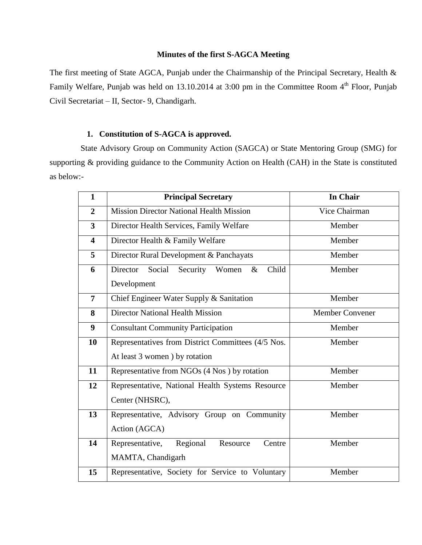#### **Minutes of the first S-AGCA Meeting**

The first meeting of State AGCA, Punjab under the Chairmanship of the Principal Secretary, Health & Family Welfare, Punjab was held on 13.10.2014 at 3:00 pm in the Committee Room 4<sup>th</sup> Floor, Punjab Civil Secretariat – II, Sector- 9, Chandigarh.

# **1. Constitution of S-AGCA is approved.**

 State Advisory Group on Community Action (SAGCA) or State Mentoring Group (SMG) for supporting & providing guidance to the Community Action on Health (CAH) in the State is constituted as below:-

| $\mathbf{1}$            | <b>Principal Secretary</b>                                        | In Chair |  |  |
|-------------------------|-------------------------------------------------------------------|----------|--|--|
| $\overline{2}$          | Vice Chairman<br><b>Mission Director National Health Mission</b>  |          |  |  |
| $\overline{\mathbf{3}}$ | Director Health Services, Family Welfare                          | Member   |  |  |
| $\overline{\mathbf{4}}$ | Director Health & Family Welfare                                  | Member   |  |  |
| 5                       | Director Rural Development & Panchayats                           | Member   |  |  |
| 6                       | Director<br>Social<br>Child<br>Security<br>Women<br>$\&$          | Member   |  |  |
|                         | Development                                                       |          |  |  |
| $\overline{7}$          | Chief Engineer Water Supply & Sanitation                          | Member   |  |  |
| 8                       | <b>Director National Health Mission</b><br><b>Member Convener</b> |          |  |  |
| $\boldsymbol{9}$        | <b>Consultant Community Participation</b><br>Member               |          |  |  |
| 10                      | Representatives from District Committees (4/5 Nos.<br>Member      |          |  |  |
|                         | At least 3 women ) by rotation                                    |          |  |  |
| 11                      | Representative from NGOs (4 Nos) by rotation                      | Member   |  |  |
| 12                      | Representative, National Health Systems Resource<br>Member        |          |  |  |
|                         | Center (NHSRC),                                                   |          |  |  |
| 13                      | Representative, Advisory Group on Community                       | Member   |  |  |
|                         | Action (AGCA)                                                     |          |  |  |
| 14                      | Regional<br>Representative,<br>Resource<br>Centre                 | Member   |  |  |
|                         | MAMTA, Chandigarh                                                 |          |  |  |
| 15                      | Representative, Society for Service to Voluntary                  | Member   |  |  |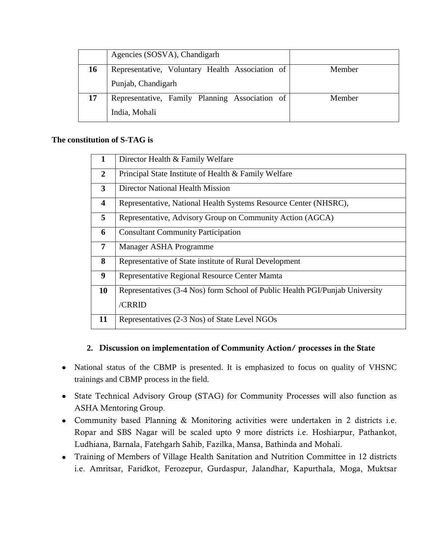|    | Agencies (SOSVA), Chandigarh                    |        |
|----|-------------------------------------------------|--------|
| 16 | Representative, Voluntary Health Association of | Member |
|    | Punjab, Chandigarh                              |        |
| 17 | Representative, Family Planning Association of  | Member |
|    | India, Mohali                                   |        |

### **The constitution of S-TAG is**

| $\mathbf{1}$   | Director Health & Family Welfare                                             |  |  |
|----------------|------------------------------------------------------------------------------|--|--|
| $\overline{2}$ | Principal State Institute of Health & Family Welfare                         |  |  |
| 3              | <b>Director National Health Mission</b>                                      |  |  |
| 4              | Representative, National Health Systems Resource Center (NHSRC),             |  |  |
| 5              | Representative, Advisory Group on Community Action (AGCA)                    |  |  |
| 6              | <b>Consultant Community Participation</b>                                    |  |  |
| $\overline{7}$ | Manager ASHA Programme                                                       |  |  |
| 8              | Representative of State institute of Rural Development                       |  |  |
| 9              | Representative Regional Resource Center Mamta                                |  |  |
| 10             | Representatives (3-4 Nos) form School of Public Health PGI/Punjab University |  |  |
|                | /CRRID                                                                       |  |  |
| 11             | Representatives (2-3 Nos) of State Level NGOs                                |  |  |

### **2. Discussion on implementation of Community Action/ processes in the State**

- National status of the CBMP is presented. It is emphasized to focus on quality of VHSNC trainings and CBMP process in the field.
- State Technical Advisory Group (STAG) for Community Processes will also function as ASHA Mentoring Group.
- Community based Planning & Monitoring activities were undertaken in 2 districts i.e. Ropar and SBS Nagar will be scaled upto 9 more districts i.e. Hoshiarpur, Pathankot, Ludhiana, Barnala, Fatehgarh Sahib, Fazilka, Mansa, Bathinda and Mohali.
- Training of Members of Village Health Sanitation and Nutrition Committee in 12 districts i.e. Amritsar, Faridkot, Ferozepur, Gurdaspur, Jalandhar, Kapurthala, Moga, Muktsar